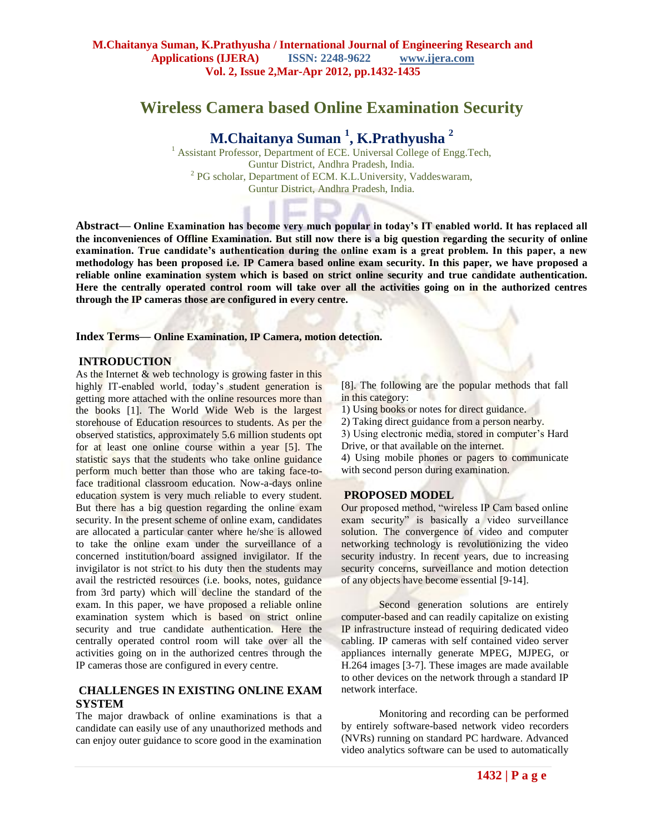## **Wireless Camera based Online Examination Security**

# **M.Chaitanya Suman <sup>1</sup> , K.Prathyusha <sup>2</sup>**

<sup>1</sup> Assistant Professor, Department of ECE. Universal College of Engg.Tech, Guntur District, Andhra Pradesh, India.  $2$  PG scholar, Department of ECM. K.L.University, Vaddeswaram, Guntur District, Andhra Pradesh, India.

**Abstract— Online Examination has become very much popular in today's IT enabled world. It has replaced all the inconveniences of Offline Examination. But still now there is a big question regarding the security of online examination. True candidate's authentication during the online exam is a great problem. In this paper, a new methodology has been proposed i.e. IP Camera based online exam security. In this paper, we have proposed a reliable online examination system which is based on strict online security and true candidate authentication. Here the centrally operated control room will take over all the activities going on in the authorized centres through the IP cameras those are configured in every centre.**

**Index Terms— Online Examination, IP Camera, motion detection.**

#### **INTRODUCTION**

As the Internet & web technology is growing faster in this highly IT-enabled world, today's student generation is getting more attached with the online resources more than the books [1]. The World Wide Web is the largest storehouse of Education resources to students. As per the observed statistics, approximately 5.6 million students opt for at least one online course within a year [5]. The statistic says that the students who take online guidance perform much better than those who are taking face-toface traditional classroom education. Now-a-days online education system is very much reliable to every student. But there has a big question regarding the online exam security. In the present scheme of online exam, candidates are allocated a particular canter where he/she is allowed to take the online exam under the surveillance of a concerned institution/board assigned invigilator. If the invigilator is not strict to his duty then the students may avail the restricted resources (i.e. books, notes, guidance from 3rd party) which will decline the standard of the exam. In this paper, we have proposed a reliable online examination system which is based on strict online security and true candidate authentication. Here the centrally operated control room will take over all the activities going on in the authorized centres through the IP cameras those are configured in every centre.

## **CHALLENGES IN EXISTING ONLINE EXAM SYSTEM**

The major drawback of online examinations is that a candidate can easily use of any unauthorized methods and can enjoy outer guidance to score good in the examination

[8]. The following are the popular methods that fall in this category:

1) Using books or notes for direct guidance.

2) Taking direct guidance from a person nearby.

3) Using electronic media, stored in computer's Hard Drive, or that available on the internet.

4) Using mobile phones or pagers to communicate with second person during examination.

#### **PROPOSED MODEL**

Our proposed method, "wireless IP Cam based online exam security" is basically a video surveillance solution. The convergence of video and computer networking technology is revolutionizing the video security industry. In recent years, due to increasing security concerns, surveillance and motion detection of any objects have become essential [9-14].

Second generation solutions are entirely computer-based and can readily capitalize on existing IP infrastructure instead of requiring dedicated video cabling. IP cameras with self contained video server appliances internally generate MPEG, MJPEG, or H.264 images [3-7]. These images are made available to other devices on the network through a standard IP network interface.

Monitoring and recording can be performed by entirely software-based network video recorders (NVRs) running on standard PC hardware. Advanced video analytics software can be used to automatically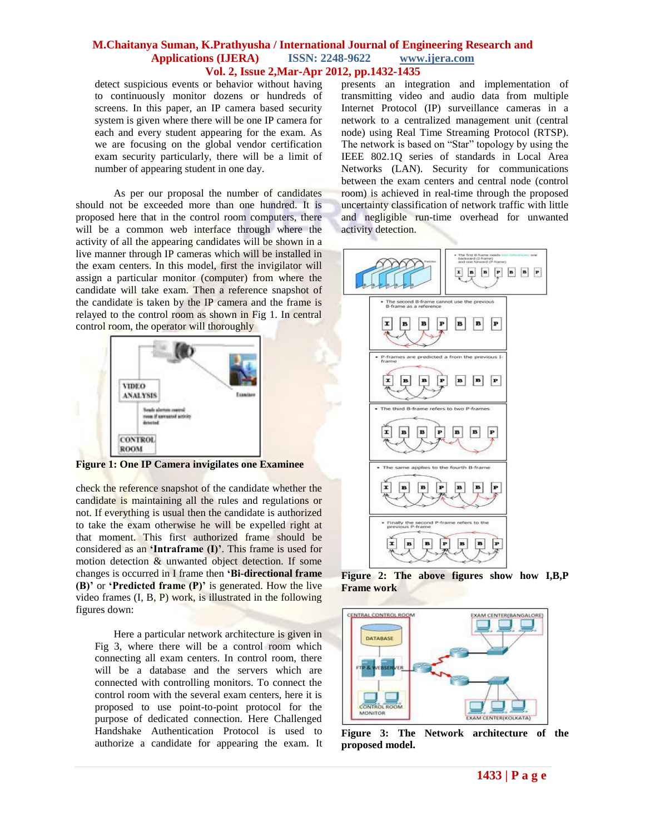#### **M.Chaitanya Suman, K.Prathyusha / International Journal of Engineering Research and Applications (IJERA) ISSN: 2248-9622 www.ijera.com Vol. 2, Issue 2,Mar-Apr 2012, pp.1432-1435**

detect suspicious events or behavior without having to continuously monitor dozens or hundreds of screens. In this paper, an IP camera based security system is given where there will be one IP camera for each and every student appearing for the exam. As we are focusing on the global vendor certification exam security particularly, there will be a limit of number of appearing student in one day.

As per our proposal the number of candidates should not be exceeded more than one hundred. It is proposed here that in the control room computers, there will be a common web interface through where the activity of all the appearing candidates will be shown in a live manner through IP cameras which will be installed in the exam centers. In this model, first the invigilator will assign a particular monitor (computer) from where the candidate will take exam. Then a reference snapshot of the candidate is taken by the IP camera and the frame is relayed to the control room as shown in Fig 1. In central control room, the operator will thoroughly



**Figure 1: One IP Camera invigilates one Examinee**

check the reference snapshot of the candidate whether the candidate is maintaining all the rules and regulations or not. If everything is usual then the candidate is authorized to take the exam otherwise he will be expelled right at that moment. This first authorized frame should be considered as an **'Intraframe (I)'**. This frame is used for motion detection & unwanted object detection. If some changes is occurred in I frame then **'Bi-directional frame (B)'** or **'Predicted frame (P)'** is generated. How the live video frames (I, B, P) work, is illustrated in the following figures down:

Here a particular network architecture is given in Fig 3, where there will be a control room which connecting all exam centers. In control room, there will be a database and the servers which are connected with controlling monitors. To connect the control room with the several exam centers, here it is proposed to use point-to-point protocol for the purpose of dedicated connection. Here Challenged Handshake Authentication Protocol is used to authorize a candidate for appearing the exam. It

presents an integration and implementation of transmitting video and audio data from multiple Internet Protocol (IP) surveillance cameras in a network to a centralized management unit (central node) using Real Time Streaming Protocol (RTSP). The network is based on "Star" topology by using the IEEE 802.1Q series of standards in Local Area Networks (LAN). Security for communications between the exam centers and central node (control room) is achieved in real-time through the proposed uncertainty classification of network traffic with little and negligible run-time overhead for unwanted activity detection.



**Figure 2: The above figures show how I,B,P Frame work**



**Figure 3: The Network architecture of the proposed model.**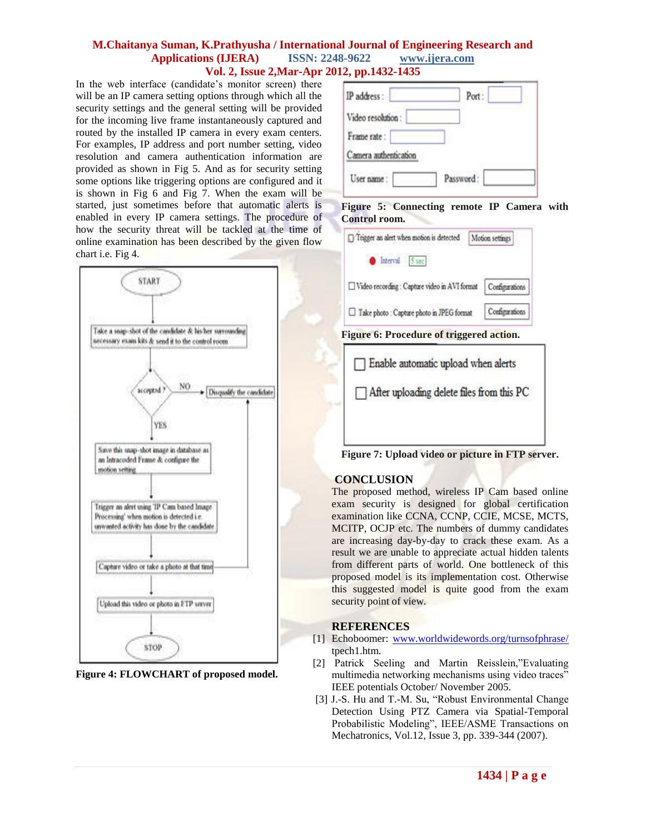#### **M.Chaitanya Suman, K.Prathyusha / International Journal of Engineering Research and Applications (IJERA) ISSN: 2248-9622 www.ijera.com Vol. 2, Issue 2,Mar-Apr 2012, pp.1432-1435**

In the web interface (candidate's monitor screen) there will be an IP camera setting options through which all the security settings and the general setting will be provided for the incoming live frame instantaneously captured and routed by the installed IP camera in every exam centers. For examples, IP address and port number setting, video resolution and camera authentication information are provided as shown in Fig 5. And as for security setting some options like triggering options are configured and it is shown in Fig 6 and Fig 7. When the exam will be started, just sometimes before that automatic alerts is enabled in every IP camera settings. The procedure of how the security threat will be tackled at the time of online examination has been described by the given flow chart i.e. Fig 4.



**Figure 4: FLOWCHART of proposed model.**

| IP address:           | Port:     |
|-----------------------|-----------|
| Video resolution:     |           |
| Frame rate:           |           |
| Camera authentication |           |
| User name:            | Password: |

#### **Figure 5: Connecting remote IP Camera with Control room.**

| Trigger an alert when motion is detected      | Motion settings |
|-----------------------------------------------|-----------------|
| Interval 5 sec                                |                 |
| Video recording : Capture video in AVI format | Configurations  |
| □ Take photo : Capture photo in JPEG format   | Configurations  |
|                                               |                 |





**Figure 7: Upload video or picture in FTP server.**

## **CONCLUSION**

The proposed method, wireless IP Cam based online exam security is designed for global certification examination like CCNA, CCNP, CCIE, MCSE, MCTS, MCITP, OCJP etc. The numbers of dummy candidates are increasing day-by-day to crack these exam. As a result we are unable to appreciate actual hidden talents from different parts of world. One bottleneck of this proposed model is its implementation cost. Otherwise this suggested model is quite good from the exam security point of view.

## **REFERENCES**

- [1] Echoboomer: [www.worldwidewords.org/turnsofphrase/](http://www.worldwidewords.org/turnsofphrase/) tpech1.htm.
- [2] Patrick Seeling and Martin Reisslein,"Evaluating multimedia networking mechanisms using video traces" IEEE potentials October/ November 2005.
- [3] J.-S. Hu and T.-M. Su, "Robust Environmental Change Detection Using PTZ Camera via Spatial-Temporal Probabilistic Modeling", IEEE/ASME Transactions on Mechatronics, Vol.12, Issue 3, pp. 339-344 (2007).